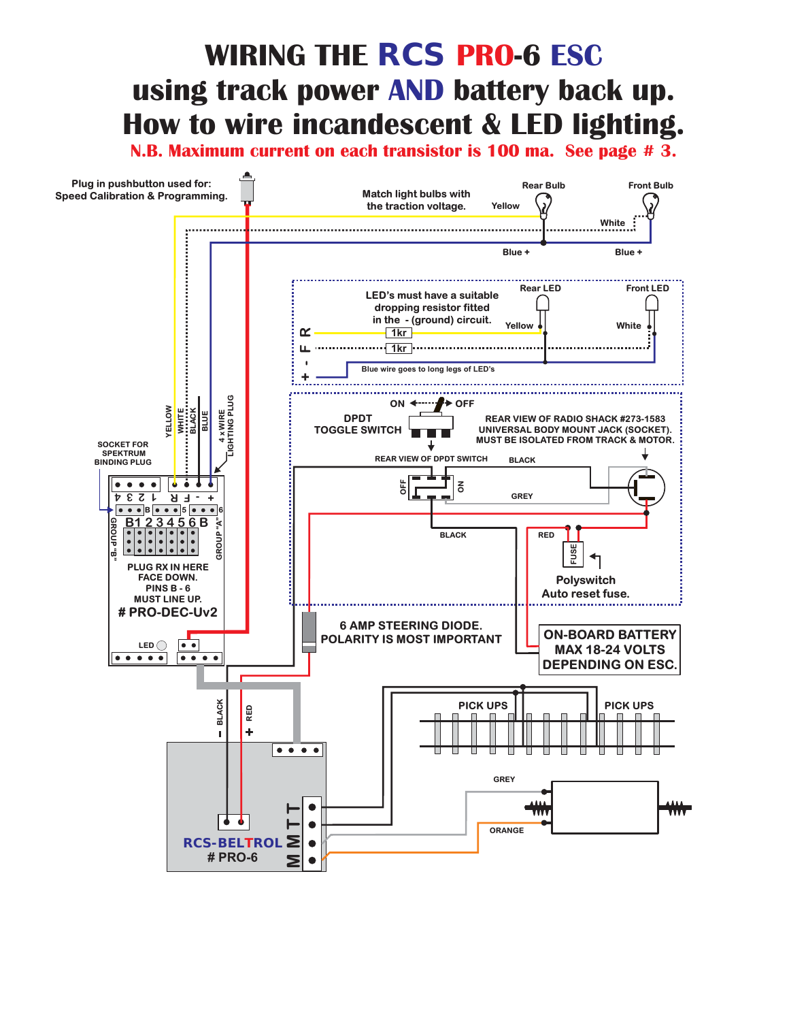## **WIRING THE**  $\mathit{RCS}$  **PRO-6 ESC** using track power AND battery back up. **How to wire incandescent & LED lighting.**

**N.B. Maximum current on each transistor is 100 ma. See page # 3.**